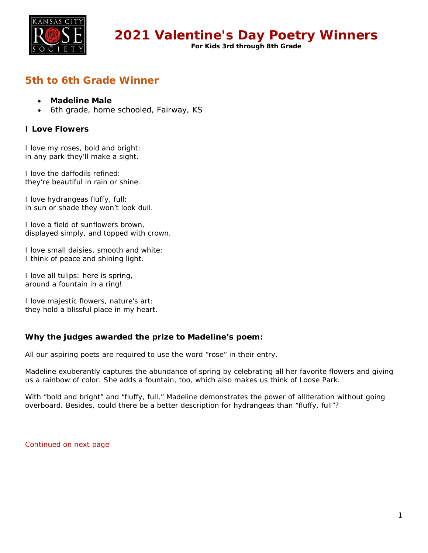

**For Kids 3rd through 8th Grade**

# **5th to 6th Grade Winner**

- **Madeline Male**
- 6th grade, home schooled, Fairway, KS

### **I Love Flowers**

I love my roses, bold and bright: in any park they'll make a sight.

I love the daffodils refined: they're beautiful in rain or shine.

I love hydrangeas fluffy, full: in sun or shade they won't look dull.

I love a field of sunflowers brown, displayed simply, and topped with crown.

I love small daisies, smooth and white: I think of peace and shining light.

I love all tulips: here is spring, around a fountain in a ring!

I love majestic flowers, nature's art: they hold a blissful place in my heart.

#### **Why the judges awarded the prize to Madeline's poem:**

All our aspiring poets are required to use the word "rose" in their entry.

Madeline exuberantly captures the abundance of spring by celebrating all her favorite flowers and giving us a rainbow of color. She adds a fountain, too, which also makes us think of Loose Park.

With "bold and bright" and "fluffy, full," Madeline demonstrates the power of alliteration without going overboard. Besides, could there be a better description for hydrangeas than "fluffy, full"?

Continued on next page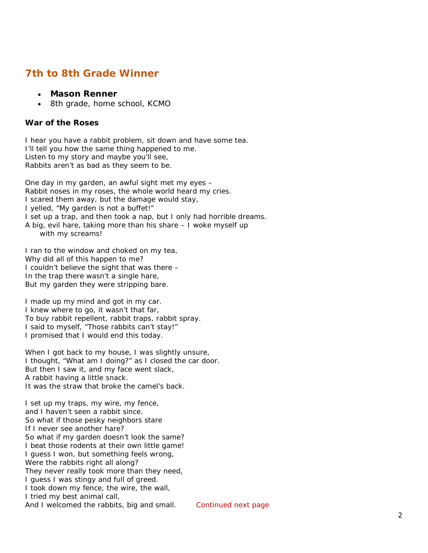## **7th to 8th Grade Winner**

- **Mason Renner**
- 8th grade, home school, KCMO

#### **War of the Roses**

I hear you have a rabbit problem, sit down and have some tea. I'll tell you how the same thing happened to me. Listen to my story and maybe you'll see, Rabbits aren't as bad as they seem to be.

One day in my garden, an awful sight met my eyes – Rabbit noses in my roses, the whole world heard my cries. I scared them away, but the damage would stay, I yelled, "My garden is not a buffet!" I set up a trap, and then took a nap, but I only had horrible dreams. A big, evil hare, taking more than his share – I woke myself up with my screams!

I ran to the window and choked on my tea, Why did all of this happen to me? I couldn't believe the sight that was there – In the trap there wasn't a single hare, But my garden they were stripping bare.

I made up my mind and got in my car. I knew where to go, it wasn't that far, To buy rabbit repellent, rabbit traps, rabbit spray. I said to myself, "Those rabbits can't stay!" I promised that I would end this today.

When I got back to my house, I was slightly unsure, I thought, "What am I doing?" as I closed the car door. But then I saw it, and my face went slack, A rabbit having a little snack. It was the straw that broke the camel's back.

I set up my traps, my wire, my fence, and I haven't seen a rabbit since. So what if those pesky neighbors stare If I never see another hare? So what if my garden doesn't look the same? I beat those rodents at their own little game! I guess I won, but something feels wrong, Were the rabbits right all along? They never really took more than they need, I guess I was stingy and full of greed. I took down my fence, the wire, the wall, I tried my best animal call, And I welcomed the rabbits, big and small. Continued next page